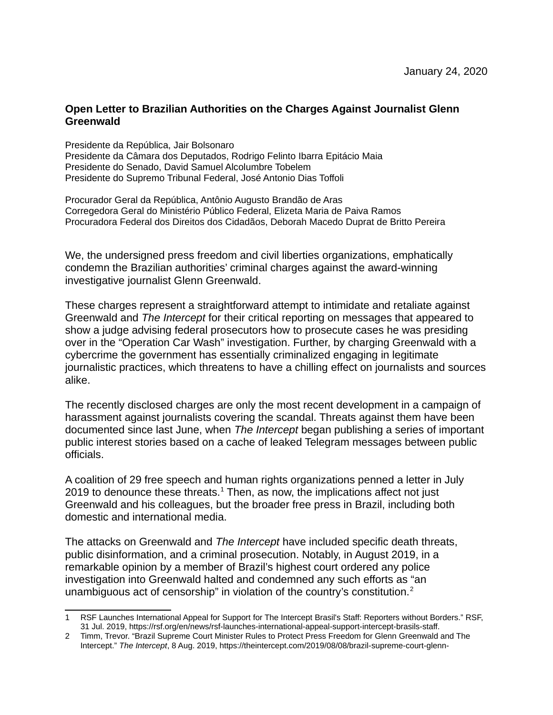## **Open Letter to Brazilian Authorities on the Charges Against Journalist Glenn Greenwald**

Presidente da República, Jair Bolsonaro Presidente da Câmara dos Deputados, Rodrigo Felinto Ibarra Epitácio Maia Presidente do Senado, David Samuel Alcolumbre Tobelem Presidente do Supremo Tribunal Federal, José Antonio Dias Toffoli

Procurador Geral da República, Antônio Augusto Brandão de Aras Corregedora Geral do Ministério Público Federal, Elizeta Maria de Paiva Ramos Procuradora Federal dos Direitos dos Cidadãos, Deborah Macedo Duprat de Britto Pereira

We, the undersigned press freedom and civil liberties organizations, emphatically condemn the Brazilian authorities' criminal charges against the award-winning investigative journalist Glenn Greenwald.

These charges represent a straightforward attempt to intimidate and retaliate against Greenwald and *The Intercept* for their critical reporting on messages that appeared to show a judge advising federal prosecutors how to prosecute cases he was presiding over in the "Operation Car Wash" investigation. Further, by charging Greenwald with a cybercrime the government has essentially criminalized engaging in legitimate journalistic practices, which threatens to have a chilling effect on journalists and sources alike.

The recently disclosed charges are only the most recent development in a campaign of harassment against journalists covering the scandal. Threats against them have been documented since last June, when *The Intercept* began publishing a series of important public interest stories based on a cache of leaked Telegram messages between public officials.

A coalition of 29 free speech and human rights organizations penned a letter in July 20[1](#page-0-0)9 to denounce these threats. $1$  Then, as now, the implications affect not just Greenwald and his colleagues, but the broader free press in Brazil, including both domestic and international media.

The attacks on Greenwald and *The Intercept* have included specific death threats, public disinformation, and a criminal prosecution. Notably, in August 2019, in a remarkable opinion by a member of Brazil's highest court ordered any police investigation into Greenwald halted and condemned any such efforts as "an unambiguous act of censorship" in violation of the country's constitution. $2$ 

<span id="page-0-0"></span><sup>1</sup> RSF Launches International Appeal for Support for The Intercept Brasil's Staff: Reporters without Borders." RSF, 31 Jul. 2019, https://rsf.org/en/news/rsf-launches-international-appeal-support-intercept-brasils-staff.

<span id="page-0-1"></span><sup>2</sup> Timm, Trevor. "Brazil Supreme Court Minister Rules to Protect Press Freedom for Glenn Greenwald and The Intercept." *The Intercept*, 8 Aug. 2019, https://theintercept.com/2019/08/08/brazil-supreme-court-glenn-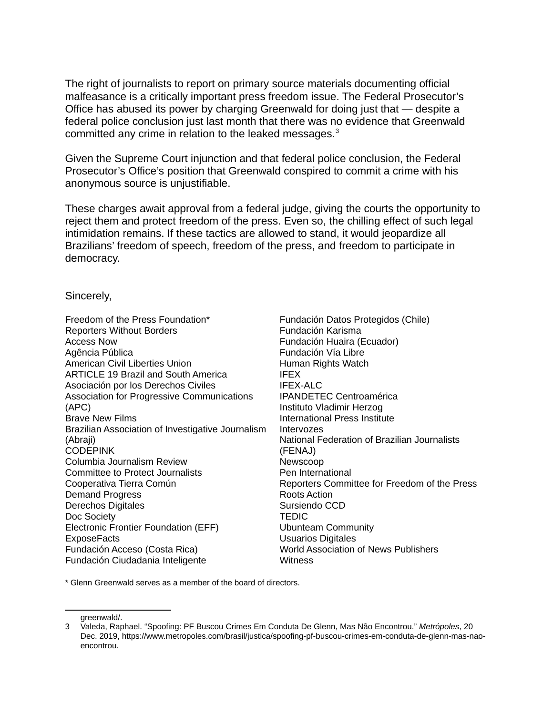The right of journalists to report on primary source materials documenting official malfeasance is a critically important press freedom issue. The Federal Prosecutor's Office has abused its power by charging Greenwald for doing just that — despite a federal police conclusion just last month that there was no evidence that Greenwald committed any crime in relation to the leaked messages.<sup>[3](#page-1-0)</sup>

Given the Supreme Court injunction and that federal police conclusion, the Federal Prosecutor's Office's position that Greenwald conspired to commit a crime with his anonymous source is unjustifiable.

These charges await approval from a federal judge, giving the courts the opportunity to reject them and protect freedom of the press. Even so, the chilling effect of such legal intimidation remains. If these tactics are allowed to stand, it would jeopardize all Brazilians' freedom of speech, freedom of the press, and freedom to participate in democracy.

## Sincerely,

| Freedom of the Press Foundation*                  | Fundación Datos Protegidos (Chile)        |
|---------------------------------------------------|-------------------------------------------|
| <b>Reporters Without Borders</b>                  | Fundación Karisma                         |
| Access Now                                        | Fundación Huaira (Ecuador)                |
| Agência Pública                                   | Fundación Vía Libre                       |
| American Civil Liberties Union                    | Human Rights Watch                        |
| <b>ARTICLE 19 Brazil and South America</b>        | <b>IFEX</b>                               |
| Asociación por los Derechos Civiles               | <b>IFEX-ALC</b>                           |
| <b>Association for Progressive Communications</b> | <b>IPANDETEC Centroamérica</b>            |
| (APC)                                             | Instituto Vladimir Herzog                 |
| <b>Brave New Films</b>                            | International Press Institute             |
| Brazilian Association of Investigative Journalism | Intervozes                                |
| (Abraji)                                          | National Federation of Brazilian Jour     |
| <b>CODEPINK</b>                                   | (FENAJ)                                   |
| Columbia Journalism Review                        | Newscoop                                  |
| <b>Committee to Protect Journalists</b>           | Pen International                         |
| Cooperativa Tierra Común                          | Reporters Committee for Freedom o         |
| <b>Demand Progress</b>                            | Roots Action                              |
| Derechos Digitales                                | Sursiendo CCD                             |
| Doc Society                                       | <b>TEDIC</b>                              |
| Electronic Frontier Foundation (EFF)              | <b>Ubunteam Community</b>                 |
| <b>ExposeFacts</b>                                | <b>Usuarios Digitales</b>                 |
| Fundación Acceso (Costa Rica)                     | <b>World Association of News Publishe</b> |
| Fundación Ciudadania Inteligente                  | Witness                                   |
|                                                   |                                           |

ador) hérica Instituto Vladimir Herzog  $\overline{\mathsf{fit}}$ ute **Brazilian Journalists** or Freedom of the Press ews Publishers

\* Glenn Greenwald serves as a member of the board of directors.

<span id="page-1-0"></span>greenwald/.

<sup>3</sup> Valeda, Raphael. "Spoofing: PF Buscou Crimes Em Conduta De Glenn, Mas Não Encontrou." *Metrópoles*, 20 Dec. 2019, https://www.metropoles.com/brasil/justica/spoofing-pf-buscou-crimes-em-conduta-de-glenn-mas-naoencontrou.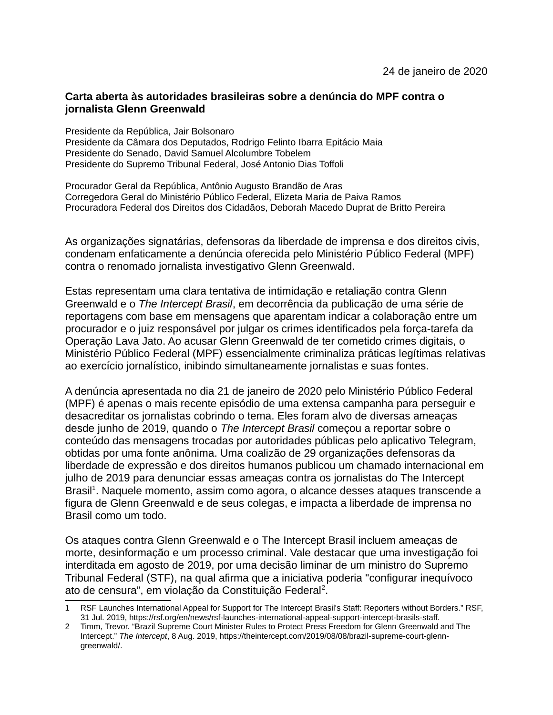## **Carta aberta às autoridades brasileiras sobre a denúncia do MPF contra o jornalista Glenn Greenwald**

Presidente da República, Jair Bolsonaro Presidente da Câmara dos Deputados, Rodrigo Felinto Ibarra Epitácio Maia Presidente do Senado, David Samuel Alcolumbre Tobelem Presidente do Supremo Tribunal Federal, José Antonio Dias Toffoli

Procurador Geral da República, Antônio Augusto Brandão de Aras Corregedora Geral do Ministério Público Federal, Elizeta Maria de Paiva Ramos Procuradora Federal dos Direitos dos Cidadãos, Deborah Macedo Duprat de Britto Pereira

As organizações signatárias, defensoras da liberdade de imprensa e dos direitos civis, condenam enfaticamente a denúncia oferecida pelo Ministério Público Federal (MPF) contra o renomado jornalista investigativo Glenn Greenwald.

Estas representam uma clara tentativa de intimidação e retaliação contra Glenn Greenwald e o *The Intercept Brasil*, em decorrência da publicação de uma série de reportagens com base em mensagens que aparentam indicar a colaboração entre um procurador e o juiz responsável por julgar os crimes identificados pela força-tarefa da Operação Lava Jato. Ao acusar Glenn Greenwald de ter cometido crimes digitais, o Ministério Público Federal (MPF) essencialmente criminaliza práticas legítimas relativas ao exercício jornalístico, inibindo simultaneamente jornalistas e suas fontes.

A denúncia apresentada no dia 21 de janeiro de 2020 pelo Ministério Público Federal (MPF) é apenas o mais recente episódio de uma extensa campanha para perseguir e desacreditar os jornalistas cobrindo o tema. Eles foram alvo de diversas ameaças desde junho de 2019, quando o *The Intercept Brasil* começou a reportar sobre o conteúdo das mensagens trocadas por autoridades públicas pelo aplicativo Telegram, obtidas por uma fonte anônima. Uma coalizão de 29 organizações defensoras da liberdade de expressão e dos direitos humanos publicou um chamado internacional em julho de 2019 para denunciar essas ameaças contra os jornalistas do The Intercept Brasil<sup>[1](#page-2-0)</sup>. Naquele momento, assim como agora, o alcance desses ataques transcende a figura de Glenn Greenwald e de seus colegas, e impacta a liberdade de imprensa no Brasil como um todo.

Os ataques contra Glenn Greenwald e o The Intercept Brasil incluem ameaças de morte, desinformação e um processo criminal. Vale destacar que uma investigação foi interditada em agosto de 2019, por uma decisão liminar de um ministro do Supremo Tribunal Federal (STF), na qual afirma que a iniciativa poderia "configurar inequívoco ato de censura", em violação da Constituição Federal<sup>[2](#page-2-1)</sup>.

<span id="page-2-0"></span><sup>1</sup> RSF Launches International Appeal for Support for The Intercept Brasil's Staff: Reporters without Borders." RSF, 31 Jul. 2019, https://rsf.org/en/news/rsf-launches-international-appeal-support-intercept-brasils-staff.

<span id="page-2-1"></span><sup>2</sup> Timm, Trevor. "Brazil Supreme Court Minister Rules to Protect Press Freedom for Glenn Greenwald and The Intercept." *The Intercept*, 8 Aug. 2019, https://theintercept.com/2019/08/08/brazil-supreme-court-glenngreenwald/.